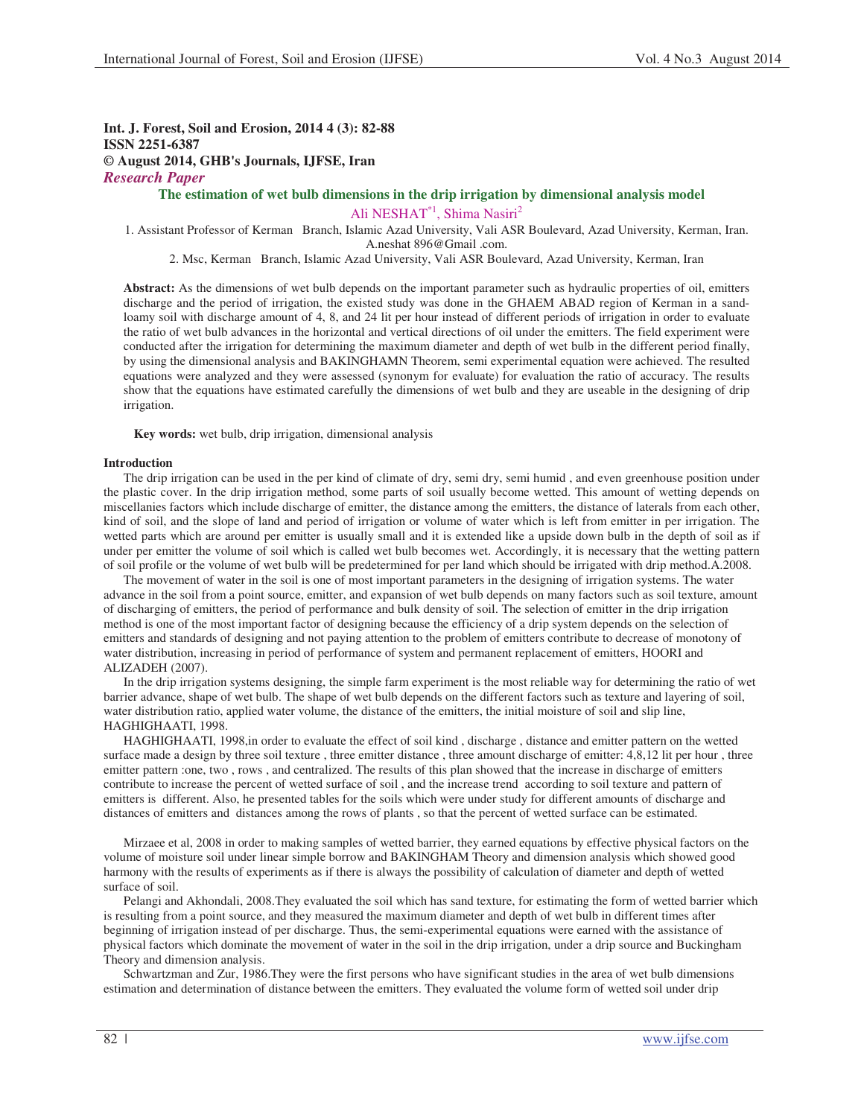# **Int. J. Forest, Soil and Erosion, 2014 4 (3): 82-88 ISSN 2251-6387 © August 2014, GHB's Journals, IJFSE, Iran** *Research Paper*

**The estimation of wet bulb dimensions in the drip irrigation by dimensional analysis model** 

Ali NESHAT<sup>\*1</sup>, Shima Nasiri<sup>2</sup>

1. Assistant Professor of Kerman Branch, Islamic Azad University, Vali ASR Boulevard, Azad University, Kerman, Iran. A.neshat 896@Gmail .com.

2. Msc, Kerman Branch, Islamic Azad University, Vali ASR Boulevard, Azad University, Kerman, Iran

**Abstract:** As the dimensions of wet bulb depends on the important parameter such as hydraulic properties of oil, emitters discharge and the period of irrigation, the existed study was done in the GHAEM ABAD region of Kerman in a sandloamy soil with discharge amount of 4, 8, and 24 lit per hour instead of different periods of irrigation in order to evaluate the ratio of wet bulb advances in the horizontal and vertical directions of oil under the emitters. The field experiment were conducted after the irrigation for determining the maximum diameter and depth of wet bulb in the different period finally, by using the dimensional analysis and BAKINGHAMN Theorem, semi experimental equation were achieved. The resulted equations were analyzed and they were assessed (synonym for evaluate) for evaluation the ratio of accuracy. The results show that the equations have estimated carefully the dimensions of wet bulb and they are useable in the designing of drip irrigation.

**Key words:** wet bulb, drip irrigation, dimensional analysis

## **Introduction**

The drip irrigation can be used in the per kind of climate of dry, semi dry, semi humid , and even greenhouse position under the plastic cover. In the drip irrigation method, some parts of soil usually become wetted. This amount of wetting depends on miscellanies factors which include discharge of emitter, the distance among the emitters, the distance of laterals from each other, kind of soil, and the slope of land and period of irrigation or volume of water which is left from emitter in per irrigation. The wetted parts which are around per emitter is usually small and it is extended like a upside down bulb in the depth of soil as if under per emitter the volume of soil which is called wet bulb becomes wet. Accordingly, it is necessary that the wetting pattern of soil profile or the volume of wet bulb will be predetermined for per land which should be irrigated with drip method.A.2008.

The movement of water in the soil is one of most important parameters in the designing of irrigation systems. The water advance in the soil from a point source, emitter, and expansion of wet bulb depends on many factors such as soil texture, amount of discharging of emitters, the period of performance and bulk density of soil. The selection of emitter in the drip irrigation method is one of the most important factor of designing because the efficiency of a drip system depends on the selection of emitters and standards of designing and not paying attention to the problem of emitters contribute to decrease of monotony of water distribution, increasing in period of performance of system and permanent replacement of emitters, HOORI and ALIZADEH (2007).

In the drip irrigation systems designing, the simple farm experiment is the most reliable way for determining the ratio of wet barrier advance, shape of wet bulb. The shape of wet bulb depends on the different factors such as texture and layering of soil, water distribution ratio, applied water volume, the distance of the emitters, the initial moisture of soil and slip line, HAGHIGHAATI, 1998.

HAGHIGHAATI, 1998,in order to evaluate the effect of soil kind , discharge , distance and emitter pattern on the wetted surface made a design by three soil texture , three emitter distance , three amount discharge of emitter: 4,8,12 lit per hour , three emitter pattern :one, two , rows , and centralized. The results of this plan showed that the increase in discharge of emitters contribute to increase the percent of wetted surface of soil , and the increase trend according to soil texture and pattern of emitters is different. Also, he presented tables for the soils which were under study for different amounts of discharge and distances of emitters and distances among the rows of plants , so that the percent of wetted surface can be estimated.

Mirzaee et al, 2008 in order to making samples of wetted barrier, they earned equations by effective physical factors on the volume of moisture soil under linear simple borrow and BAKINGHAM Theory and dimension analysis which showed good harmony with the results of experiments as if there is always the possibility of calculation of diameter and depth of wetted surface of soil.

Pelangi and Akhondali, 2008.They evaluated the soil which has sand texture, for estimating the form of wetted barrier which is resulting from a point source, and they measured the maximum diameter and depth of wet bulb in different times after beginning of irrigation instead of per discharge. Thus, the semi-experimental equations were earned with the assistance of physical factors which dominate the movement of water in the soil in the drip irrigation, under a drip source and Buckingham Theory and dimension analysis.

Schwartzman and Zur, 1986.They were the first persons who have significant studies in the area of wet bulb dimensions estimation and determination of distance between the emitters. They evaluated the volume form of wetted soil under drip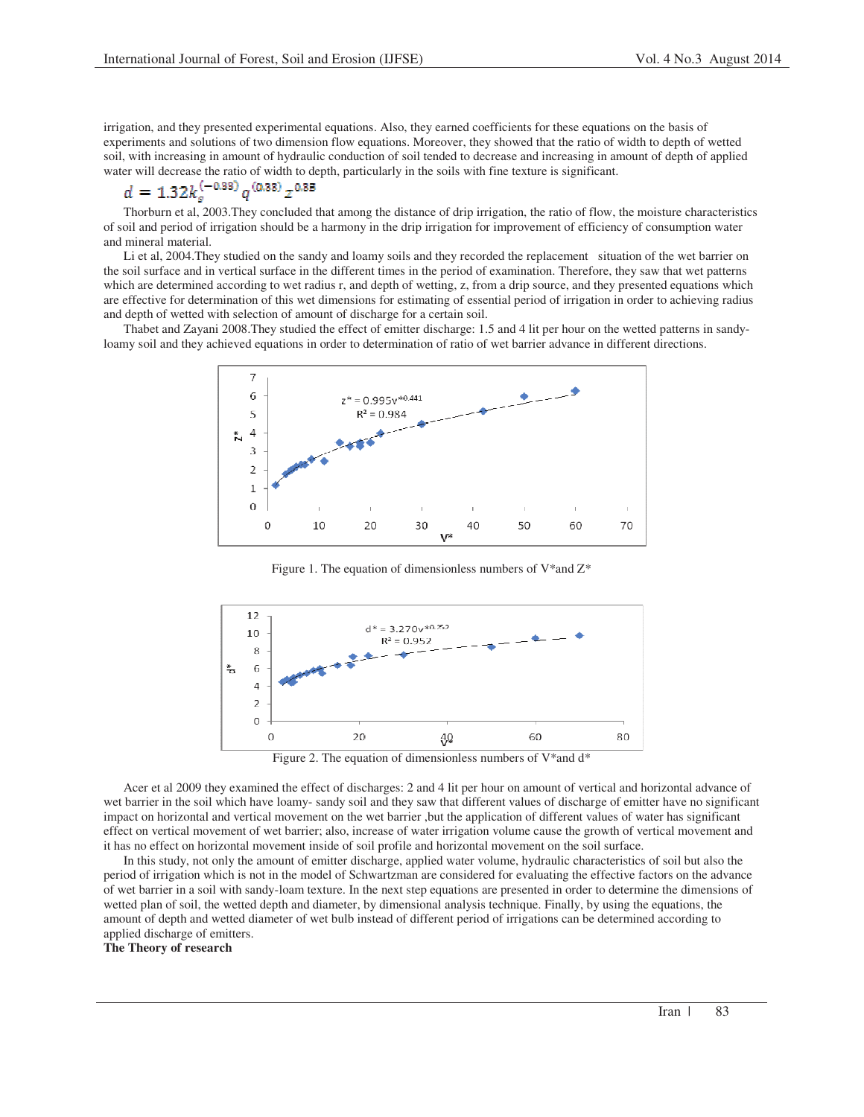irrigation, and they presented experimental equations. Also, they earned coefficients for these equations on the basis of experiments and solutions of two dimension flow equations. Moreover, they showed that the ratio of width to depth of wetted soil, with increasing in amount of hydraulic conduction of soil tended to decrease and increasing in amount of depth of applied water will decrease the ratio of width to depth, particularly in the soils with fine texture is significant.<br> $d = 1.32 k_s^{(-0.38)} q^{(0.38)} z^{0.35}$ 

Thorburn et al, 2003.They concluded that among the distance of drip irrigation, the ratio of flow, the moisture characteristics of soil and period of irrigation should be a harmony in the drip irrigation for improvement of efficiency of consumption water and mineral material.

Li et al, 2004.They studied on the sandy and loamy soils and they recorded the replacement situation of the wet barrier on the soil surface and in vertical surface in the different times in the period of examination. Therefore, they saw that wet patterns which are determined according to wet radius r, and depth of wetting, z, from a drip source, and they presented equations which are effective for determination of this wet dimensions for estimating of essential period of irrigation in order to achieving radius and depth of wetted with selection of amount of discharge for a certain soil.

Thabet and Zayani 2008.They studied the effect of emitter discharge: 1.5 and 4 lit per hour on the wetted patterns in sandyloamy soil and they achieved equations in order to determination of ratio of wet barrier advance in different directions.



Figure 1. The equation of dimensionless numbers of  $V^*$  and  $Z^*$ 



Figure 2. The equation of dimensionless numbers of V\*and d\*

Acer et al 2009 they examined the effect of discharges: 2 and 4 lit per hour on amount of vertical and horizontal advance of wet barrier in the soil which have loamy- sandy soil and they saw that different values of discharge of emitter have no significant impact on horizontal and vertical movement on the wet barrier ,but the application of different values of water has significant effect on vertical movement of wet barrier; also, increase of water irrigation volume cause the growth of vertical movement and it has no effect on horizontal movement inside of soil profile and horizontal movement on the soil surface.

In this study, not only the amount of emitter discharge, applied water volume, hydraulic characteristics of soil but also the period of irrigation which is not in the model of Schwartzman are considered for evaluating the effective factors on the advance of wet barrier in a soil with sandy-loam texture. In the next step equations are presented in order to determine the dimensions of wetted plan of soil, the wetted depth and diameter, by dimensional analysis technique. Finally, by using the equations, the amount of depth and wetted diameter of wet bulb instead of different period of irrigations can be determined according to applied discharge of emitters.

**The Theory of research**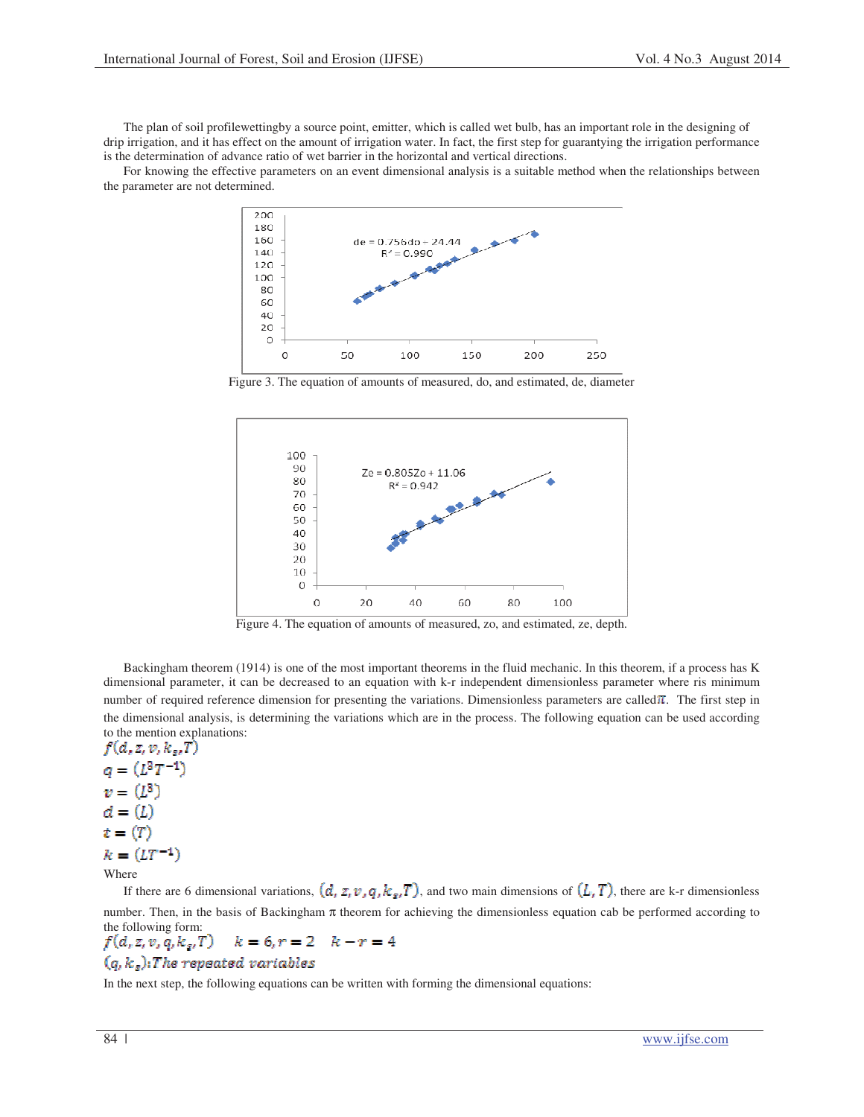The plan of soil profilewettingby a source point, emitter, which is called wet bulb, has an important role in the designing of drip irrigation, and it has effect on the amount of irrigation water. In fact, the first step for guarantying the irrigation performance is the determination of advance ratio of wet barrier in the horizontal and vertical directions.

For knowing the effective parameters on an event dimensional analysis is a suitable method when the relationships between the parameter are not determined.



Figure 3. The equation of amounts of measured, do, and estimated, de, diameter



Figure 4. The equation of amounts of measured, zo, and estimated, ze, depth.

Backingham theorem (1914) is one of the most important theorems in the fluid mechanic. In this theorem, if a process has K dimensional parameter, it can be decreased to an equation with k-r independent dimensionless parameter where ris minimum number of required reference dimension for presenting the variations. Dimensionless parameters are called  $\pi$ . The first step in the dimensional analysis, is determining the variations which are in the process. The following equation can be used according to the mention explanations:<br> $f(d, z, v, k_z, T)$ 

 $q=(L^3T^{-1})$  $v = (L^3)$  $d = (L)$  $t=(T)$  $k = (LT^{-1})$ Where

If there are 6 dimensional variations,  $(d, z, v, q, k_s, T)$ , and two main dimensions of  $(L, T)$ , there are k-r dimensionless number. Then, in the basis of Backingham  $\pi$  theorem for achieving the dimensionless equation cab be performed according to the following form:

### $k = 6, r = 2$   $k - r = 4$  $f(d, z, v, q, k_s, T)$  $(q, k_s)$ : The repeated variables

In the next step, the following equations can be written with forming the dimensional equations: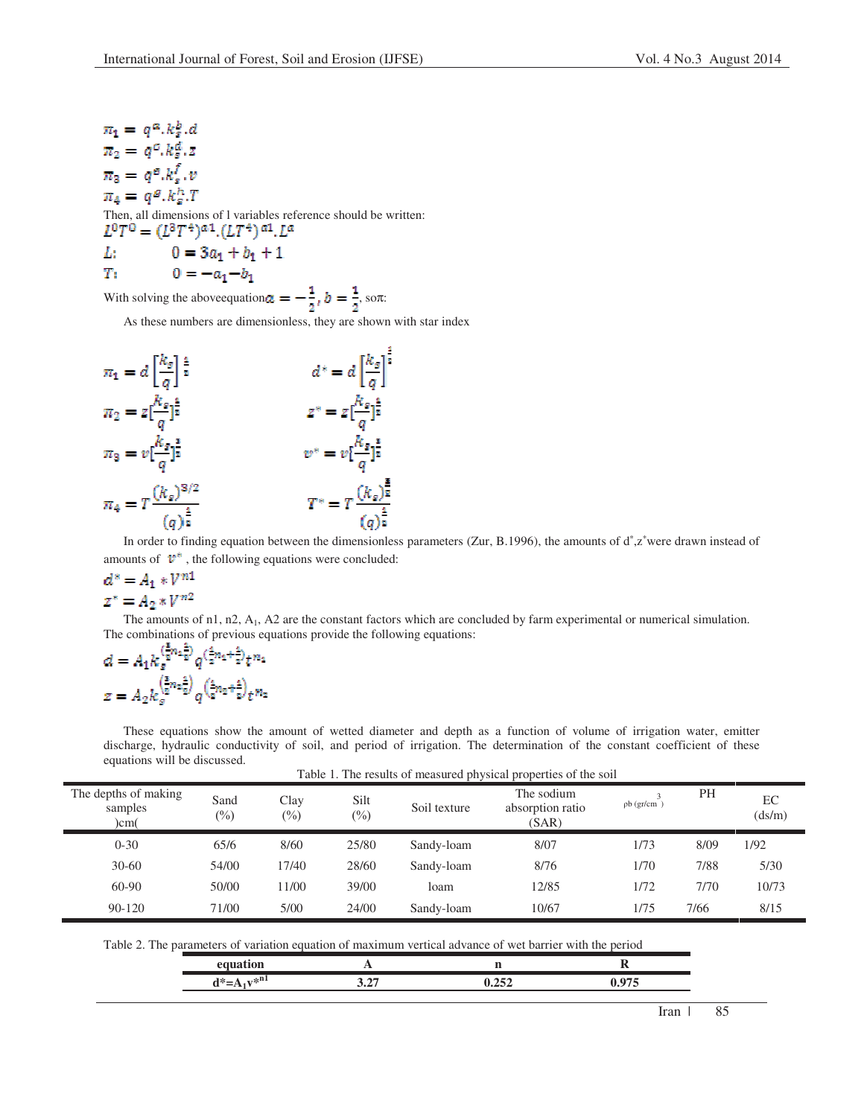$\pi_1 = q^{\alpha} \cdot k_s^b \cdot d$  $\pi_2 = q^c.k_s^d.z$  $\pi_{\rm a}=q^{\rm g}k_{\rm a}^f.v$  $\pi_A = g^g.k^h_o.T$ 

Then, all dimensions of l variables reference should be written:<br> $L^0T^0 = (L^3T^4)^{\alpha}$ .  $(LT^4)^{\alpha}$ .  $L^{\alpha}$ 

L: 
$$
0 = 3a_1 + b_1 + 1
$$

71  $0 = -a_1 - b_1$ 

With solving the above<br>equation  $a = -\frac{1}{2}$ ,  $b = \frac{1}{2}$ , son:

As these numbers are dimensionless, they are shown with star index



In order to finding equation between the dimensionless parameters (Zur, B.1996), the amounts of d<sup>∗</sup>,z<sup>∗</sup>were drawn instead of amounts of  $\mathbf{v}^*$ , the following equations were concluded:

# $d^* = A_1 * V^{n1}$  $z^* = A_2 * V^{n2}$

The amounts of n1, n2, A<sub>1</sub>, A2 are the constant factors which are concluded by farm experimental or numerical simulation. The combinations of previous equations provide the following equations:

$$
d = A_1 k_g^{(\frac{2}{2}n_4 \frac{2}{2})} q^{(\frac{2}{2}n_4 + \frac{2}{2})} t^{n_4}
$$
  

$$
z = A_2 k_g^{(\frac{5}{2}n_2 \frac{2}{2})} q^{(\frac{2}{2}n_2 + \frac{2}{2})} t^{n_2}
$$

These equations show the amount of wetted diameter and depth as a function of volume of irrigation water, emitter discharge, hydraulic conductivity of soil, and period of irrigation. The determination of the constant coefficient of these equations will be discussed. Table 1. The results of measured physical properties of the soil

| The depths of making<br>samples<br>)cm( | Sand<br>$(\%)$ | Clay<br>$(\%)$ | Silt<br>$\binom{0}{0}$ | Soil texture | Table 1. The results of measured physical properties of the soil<br>The sodium<br>absorption ratio<br>(SAR) | $pb$ (gr/cm) | <b>PH</b> | EC<br>(ds/m) |
|-----------------------------------------|----------------|----------------|------------------------|--------------|-------------------------------------------------------------------------------------------------------------|--------------|-----------|--------------|
| $0 - 30$                                | 65/6           | 8/60           | 25/80                  | Sandy-loam   | 8/07                                                                                                        | 1/73         | 8/09      | 1/92         |
| $30 - 60$                               | 54/00          | 17/40          | 28/60                  | Sandy-loam   | 8/76                                                                                                        | 1/70         | 7/88      | 5/30         |
| $60-90$                                 | 50/00          | 11/00          | 39/00                  | loam         | 12/85                                                                                                       | 1/72         | 7/70      | 10/73        |
| $90 - 120$                              | 71/00          | 5/00           | 24/00                  | Sandy-loam   | 10/67                                                                                                       | 1/75         | 7/66      | 8/15         |

Table 2. The parameters of variation equation of maximum vertical advance of wet barrier with the period

| والمتحد<br>.<br>. . |  |  |
|---------------------|--|--|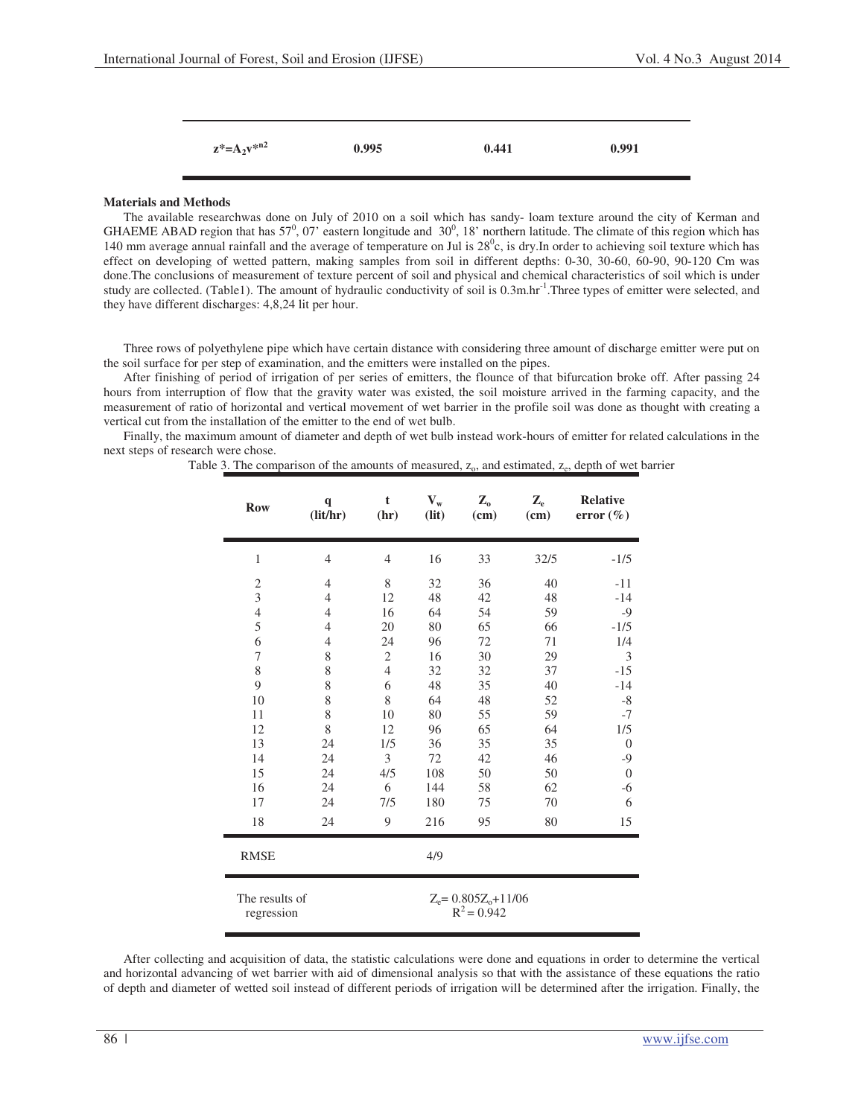| $z^* = A_2 v^{*n2}$ | 0.995 | 0.441 | 0.991 |
|---------------------|-------|-------|-------|
|                     |       |       |       |

# **Materials and Methods**

The available researchwas done on July of 2010 on a soil which has sandy- loam texture around the city of Kerman and GHAEME ABAD region that has  $57^0$ , 07' eastern longitude and  $30^0$ , 18' northern latitude. The climate of this region which has 140 mm average annual rainfall and the average of temperature on Jul is  $28^\circ$ c, is dry. In order to achieving soil texture which has effect on developing of wetted pattern, making samples from soil in different depths: 0-30, 30-60, 60-90, 90-120 Cm was done.The conclusions of measurement of texture percent of soil and physical and chemical characteristics of soil which is under study are collected. (Table1). The amount of hydraulic conductivity of soil is  $0.3$ m.hr<sup>-1</sup>. Three types of emitter were selected, and they have different discharges: 4,8,24 lit per hour.

Three rows of polyethylene pipe which have certain distance with considering three amount of discharge emitter were put on the soil surface for per step of examination, and the emitters were installed on the pipes.

After finishing of period of irrigation of per series of emitters, the flounce of that bifurcation broke off. After passing 24 hours from interruption of flow that the gravity water was existed, the soil moisture arrived in the farming capacity, and the measurement of ratio of horizontal and vertical movement of wet barrier in the profile soil was done as thought with creating a vertical cut from the installation of the emitter to the end of wet bulb.

Finally, the maximum amount of diameter and depth of wet bulb instead work-hours of emitter for related calculations in the next steps of research were chose.

Table 3. The comparison of the amounts of measured,  $z_0$ , and estimated,  $z_e$ , depth of wet barrier

| <b>Row</b>     | $\mathbf q$<br>(lit/hr)                                                   | $\mathbf t$<br>(hr) | $V_{w}$<br>(lit) | $\mathbf{Z}_{0}$<br>(cm) | $\mathbf{Z}_{e}$<br>(cm) | <b>Relative</b><br>error $(\% )$ |
|----------------|---------------------------------------------------------------------------|---------------------|------------------|--------------------------|--------------------------|----------------------------------|
| $\mathbf{1}$   | $\overline{4}$                                                            | $\overline{4}$      | 16               | 33                       | 32/5                     | $-1/5$                           |
| $\overline{c}$ | $\overline{4}$                                                            | 8                   | 32               | 36                       | 40                       | $-11$                            |
| 3              | $\overline{4}$                                                            | 12                  | 48               | 42                       | 48                       | $-14$                            |
| $\overline{4}$ | $\overline{4}$                                                            | 16                  | 64               | 54                       | 59                       | $-9$                             |
| 5              | $\overline{4}$                                                            | 20                  | 80               | 65                       | 66                       | $-1/5$                           |
| 6              | $\overline{4}$                                                            | 24                  | 96               | 72                       | 71                       | 1/4                              |
| 7              | 8                                                                         | $\overline{c}$      | 16               | 30                       | 29                       | 3                                |
| 8              | 8                                                                         | $\overline{4}$      | 32               | 32                       | 37                       | $-15$                            |
| 9              | 8                                                                         | 6                   | 48               | 35                       | 40                       | $-14$                            |
| 10             | 8                                                                         | 8                   | 64               | 48                       | 52                       | $-8$                             |
| 11             | 8                                                                         | 10                  | 80               | 55                       | 59                       | $-7$                             |
| 12             | 8                                                                         | 12                  | 96               | 65                       | 64                       | 1/5                              |
| 13             | 24                                                                        | 1/5                 | 36               | 35                       | 35                       | $\overline{0}$                   |
| 14             | 24                                                                        | 3                   | 72               | 42                       | 46                       | $-9$                             |
| 15             | 24                                                                        | 4/5                 | 108              | 50                       | 50                       | $\theta$                         |
| 16             | 24                                                                        | 6                   | 144              | 58                       | 62                       | $-6$                             |
| 17             | 24                                                                        | 7/5                 | 180              | 75                       | 70                       | 6                                |
| 18             | 24                                                                        | 9                   | 216              | 95                       | 80                       | 15                               |
| <b>RMSE</b>    |                                                                           |                     | 4/9              |                          |                          |                                  |
|                | The results of<br>$Z_e = 0.805Z_0 + 11/06$<br>$R^2$ = 0.942<br>regression |                     |                  |                          |                          |                                  |

After collecting and acquisition of data, the statistic calculations were done and equations in order to determine the vertical and horizontal advancing of wet barrier with aid of dimensional analysis so that with the assistance of these equations the ratio of depth and diameter of wetted soil instead of different periods of irrigation will be determined after the irrigation. Finally, the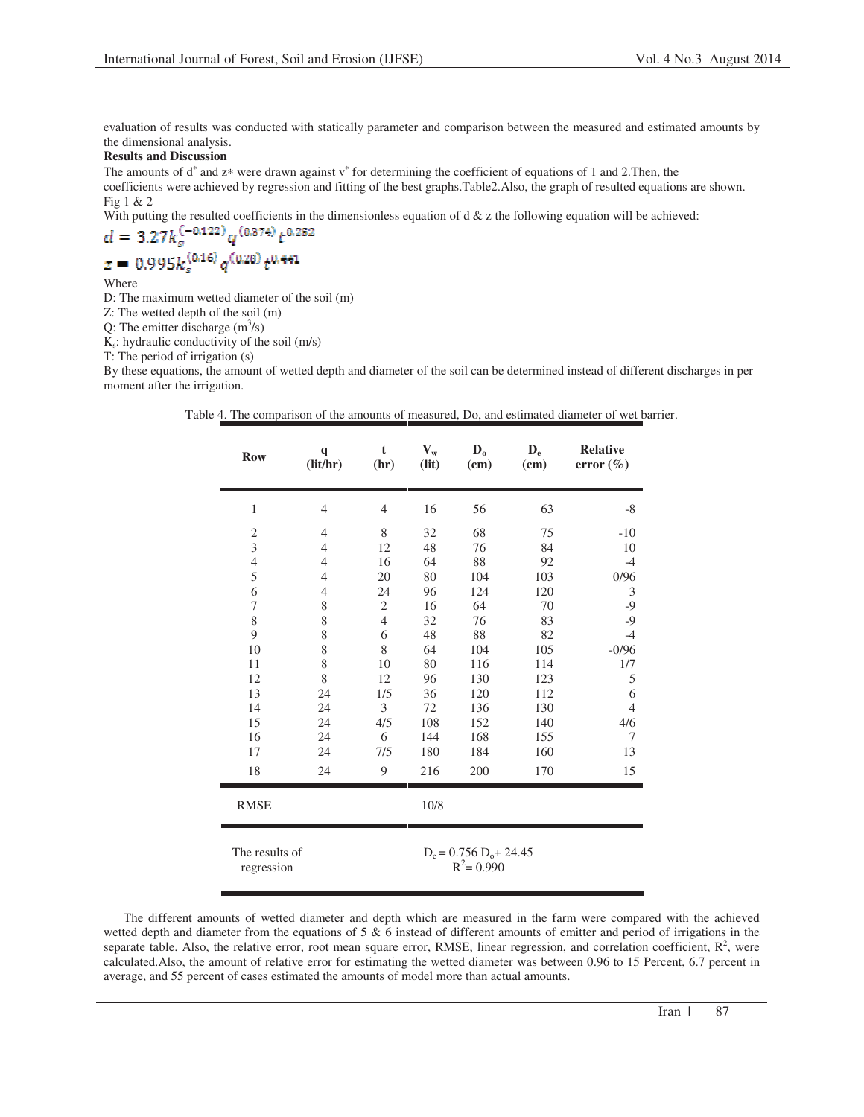evaluation of results was conducted with statically parameter and comparison between the measured and estimated amounts by the dimensional analysis.

# **Results and Discussion**

The amounts of d<sup>∗</sup> and z\* were drawn against v<sup>\*</sup> for determining the coefficient of equations of 1 and 2.Then, the coefficients were achieved by regression and fitting of the best graphs.Table2.Also, the graph of resulted equations are shown. Fig 1 & 2

With putting the resulted coefficients in the dimensionless equation of  $d \& z$  the following equation will be achieved:

$$
d = 3.27k_s^{(-0.122)}q^{(0.374)}t^{0.252}
$$

$$
z = 0.995k_s^{(0.16)}q^{(0.28)}t^{0.441}
$$

Where

D: The maximum wetted diameter of the soil (m)

Z: The wetted depth of the soil (m)

Q: The emitter discharge  $(m<sup>3</sup>/s)$ 

 $K_s$ : hydraulic conductivity of the soil (m/s)

T: The period of irrigation (s)

By these equations, the amount of wetted depth and diameter of the soil can be determined instead of different discharges in per moment after the irrigation.

|  |  |  | Table 4. The comparison of the amounts of measured, Do, and estimated diameter of wet barrier. |  |  |  |  |  |
|--|--|--|------------------------------------------------------------------------------------------------|--|--|--|--|--|
|--|--|--|------------------------------------------------------------------------------------------------|--|--|--|--|--|

| <b>Row</b>              | $\mathbf{q}$<br>(lit/hr)                                                   | t<br>(hr)      | $V_{w}$<br>(lit) | $\mathbf{D}_{\mathbf{o}}$<br>(cm) | $\mathbf{D}_{\rm e}$<br>(cm) | <b>Relative</b><br>error $(\% )$ |
|-------------------------|----------------------------------------------------------------------------|----------------|------------------|-----------------------------------|------------------------------|----------------------------------|
| $\mathbf{1}$            | $\overline{4}$                                                             | $\overline{4}$ | 16               | 56                                | 63                           | $-8$                             |
| $\overline{\mathbf{c}}$ | 4                                                                          | $\,$ 8 $\,$    | 32               | 68                                | 75                           | $-10$                            |
| 3                       | $\overline{4}$                                                             | 12             | 48               | 76                                | 84                           | 10                               |
| $\overline{4}$          | $\overline{4}$                                                             | 16             | 64               | 88                                | 92                           | $-4$                             |
| 5                       | 4                                                                          | 20             | 80               | 104                               | 103                          | 0/96                             |
| 6                       | $\overline{4}$                                                             | 24             | 96               | 124                               | 120                          | 3                                |
| 7                       | 8                                                                          | $\mathfrak{2}$ | 16               | 64                                | 70                           | $-9$                             |
| 8                       | 8                                                                          | $\overline{4}$ | 32               | 76                                | 83                           | $-9$                             |
| 9                       | 8                                                                          | 6              | 48               | 88                                | 82                           | $-4$                             |
| 10                      | 8                                                                          | 8              | 64               | 104                               | 105                          | $-0/96$                          |
| 11                      | 8                                                                          | 10             | 80               | 116                               | 114                          | 1/7                              |
| 12                      | 8                                                                          | 12             | 96               | 130                               | 123                          | 5                                |
| 13                      | 24                                                                         | 1/5            | 36               | 120                               | 112                          | 6                                |
| 14                      | 24                                                                         | 3              | 72               | 136                               | 130                          | $\overline{4}$                   |
| 15                      | 24                                                                         | 4/5            | 108              | 152                               | 140                          | 4/6                              |
| 16                      | 24                                                                         | 6              | 144              | 168                               | 155                          | 7                                |
| 17                      | 24                                                                         | 7/5            | 180              | 184                               | 160                          | 13                               |
| 18                      | 24                                                                         | 9              | 216              | 200                               | 170                          | 15                               |
| <b>RMSE</b>             |                                                                            |                | 10/8             |                                   |                              |                                  |
|                         | The results of<br>$D_e = 0.756 D_o + 24.45$<br>$R^2$ = 0.990<br>regression |                |                  |                                   |                              |                                  |

The different amounts of wetted diameter and depth which are measured in the farm were compared with the achieved wetted depth and diameter from the equations of 5 & 6 instead of different amounts of emitter and period of irrigations in the separate table. Also, the relative error, root mean square error, RMSE, linear regression, and correlation coefficient,  $R^2$ , were calculated.Also, the amount of relative error for estimating the wetted diameter was between 0.96 to 15 Percent, 6.7 percent in average, and 55 percent of cases estimated the amounts of model more than actual amounts.